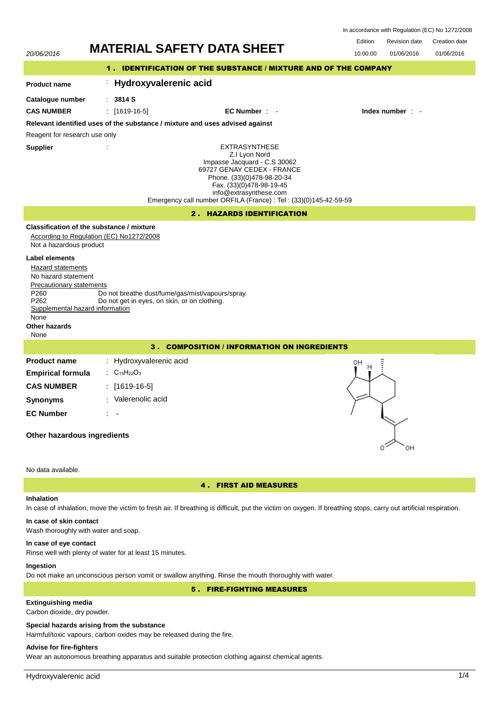| In accordance with Regulation (EC) No 1272/2008 |  |  |  |
|-------------------------------------------------|--|--|--|
|-------------------------------------------------|--|--|--|



# In case of inhalation, move the victim to fresh air. If breathing is difficult, put the victim on oxygen. If breathing stops, carry out artificial respiration.

### **In case of skin contact**

Wash thoroughly with water and soap.

# **In case of eye contact**

Rinse well with plenty of water for at least 15 minutes.

# **Ingestion**

Do not make an unconscious person vomit or swallow anything. Rinse the mouth thoroughly with water.

# 5 . FIRE-FIGHTING MEASURES

# **Extinguishing media**

Carbon dioxide, dry powder.

#### **Special hazards arising from the substance**

Harmful/toxic vapours, carbon oxides may be released during the fire.

# **Advise for fire-fighters**

Wear an autonomous breathing apparatus and suitable protection clothing against chemical agents.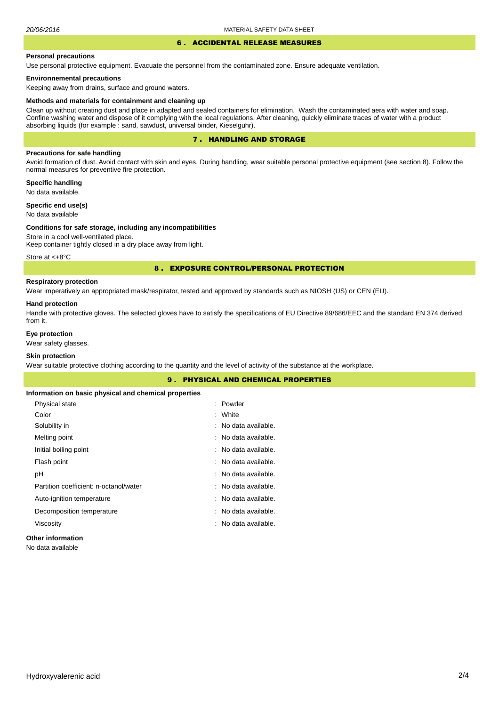# 6 . ACCIDENTAL RELEASE MEASURES

#### **Personal precautions**

Use personal protective equipment. Evacuate the personnel from the contaminated zone. Ensure adequate ventilation.

#### **Environnemental precautions**

Keeping away from drains, surface and ground waters.

#### **Methods and materials for containment and cleaning up**

Clean up without creating dust and place in adapted and sealed containers for elimination. Wash the contaminated aera with water and soap. Confine washing water and dispose of it complying with the local regulations. After cleaning, quickly eliminate traces of water with a product absorbing liquids (for example : sand, sawdust, universal binder, Kieselguhr).

## 7 . HANDLING AND STORAGE

## **Precautions for safe handling**

Avoid formation of dust. Avoid contact with skin and eyes. During handling, wear suitable personal protective equipment (see section 8). Follow the normal measures for preventive fire protection.

**Specific handling** No data available.

**Specific end use(s)**

# No data available

#### **Conditions for safe storage, including any incompatibilities**

Store in a cool well-ventilated place. Keep container tightly closed in a dry place away from light.

Store at <+8°C

#### 8 . EXPOSURE CONTROL/PERSONAL PROTECTION

## **Respiratory protection**

Wear imperatively an appropriated mask/respirator, tested and approved by standards such as NIOSH (US) or CEN (EU).

#### **Hand protection**

Handle with protective gloves. The selected gloves have to satisfy the specifications of EU Directive 89/686/EEC and the standard EN 374 derived from it.

## **Eye protection**

Wear safety glasses.

## **Skin protection**

Wear suitable protective clothing according to the quantity and the level of activity of the substance at the workplace.

| <b>9. PHYSICAL AND CHEMICAL PROPERTIES</b>            |                      |  |  |
|-------------------------------------------------------|----------------------|--|--|
| Information on basic physical and chemical properties |                      |  |  |
| Physical state                                        | : Powder             |  |  |
| Color                                                 | : White              |  |  |
| Solubility in                                         | : No data available. |  |  |
| Melting point                                         | : No data available. |  |  |
| Initial boiling point                                 | : No data available. |  |  |
| Flash point                                           | : No data available. |  |  |
| рH                                                    | : No data available. |  |  |
| Partition coefficient: n-octanol/water                | : No data available. |  |  |
| Auto-ignition temperature                             | : No data available. |  |  |
| Decomposition temperature                             | : No data available. |  |  |
| Viscosity                                             | : No data available. |  |  |
| Arthur and the figures of the con-                    |                      |  |  |

# **Other information**

No data available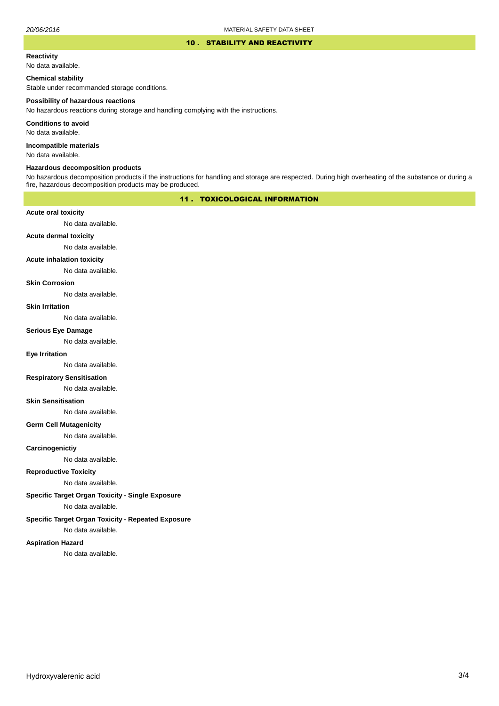#### 10 . STABILITY AND REACTIVITY

#### **Reactivity**

No data available.

#### **Chemical stability**

Stable under recommanded storage conditions.

#### **Possibility of hazardous reactions**

No hazardous reactions during storage and handling complying with the instructions.

**Conditions to avoid**

No data available.

**Incompatible materials**

No data available.

#### **Hazardous decomposition products**

No hazardous decomposition products if the instructions for handling and storage are respected. During high overheating of the substance or during a fire, hazardous decomposition products may be produced.

# 11 . TOXICOLOGICAL INFORMATION

#### **Acute oral toxicity**

No data available.

# **Acute dermal toxicity**

No data available.

#### **Acute inhalation toxicity**

No data available.

## **Skin Corrosion**

No data available.

#### **Skin Irritation**

No data available.

#### **Serious Eye Damage**

No data available.

# **Eye Irritation**

No data available.

### **Respiratory Sensitisation**

No data available.

#### **Skin Sensitisation**

No data available.

#### **Germ Cell Mutagenicity**

No data available.

#### **Carcinogenictiy**

No data available.

# **Reproductive Toxicity**

No data available.

# **Specific Target Organ Toxicity - Single Exposure**

No data available.

## **Specific Target Organ Toxicity - Repeated Exposure**

No data available.

#### **Aspiration Hazard**

No data available.